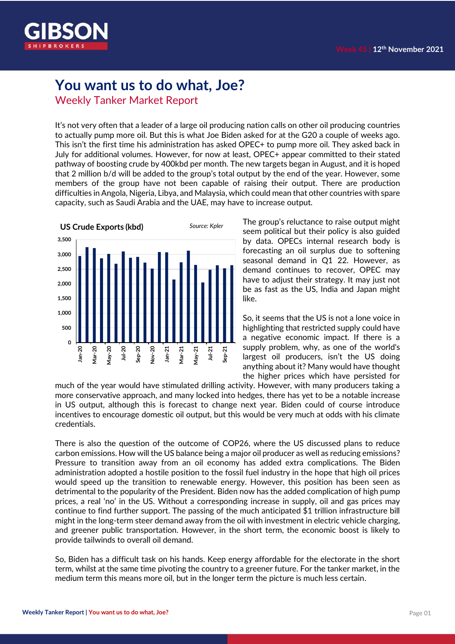

## **You want us to do what, Joe?**

Weekly Tanker Market Report

It's not very often that a leader of a large oil producing nation calls on other oil producing countries to actually pump more oil. But this is what Joe Biden asked for at the G20 a couple of weeks ago. This isn't the first time his administration has asked OPEC+ to pump more oil. They asked back in July for additional volumes. However, for now at least, OPEC+ appear committed to their stated pathway of boosting crude by 400kbd per month. The new targets began in August, and it is hoped that 2 million b/d will be added to the group's total output by the end of the year. However, some members of the group have not been capable of raising their output. There are production difficulties in Angola, Nigeria, Libya, and Malaysia, which could mean that other countries with spare capacity, such as Saudi Arabia and the UAE, may have to increase output.



The group's reluctance to raise output might seem political but their policy is also guided by data. OPECs internal research body is forecasting an oil surplus due to softening seasonal demand in Q1 22. However, as demand continues to recover, OPEC may have to adjust their strategy. It may just not be as fast as the US, India and Japan might like.

So, it seems that the US is not a lone voice in highlighting that restricted supply could have a negative economic impact. If there is a supply problem, why, as one of the world's largest oil producers, isn't the US doing anything about it? Many would have thought the higher prices which have persisted for

much of the year would have stimulated drilling activity. However, with many producers taking a more conservative approach, and many locked into hedges, there has yet to be a notable increase in US output, although this is forecast to change next year. Biden could of course introduce incentives to encourage domestic oil output, but this would be very much at odds with his climate credentials.

There is also the question of the outcome of COP26, where the US discussed plans to reduce carbon emissions. How will the US balance being a major oil producer as well as reducing emissions? Pressure to transition away from an oil economy has added extra complications. The Biden administration adopted a hostile position to the fossil fuel industry in the hope that high oil prices would speed up the transition to renewable energy. However, this position has been seen as detrimental to the popularity of the President. Biden now has the added complication of high pump prices, a real 'no' in the US. Without a corresponding increase in supply, oil and gas prices may continue to find further support. The passing of the much anticipated \$1 trillion infrastructure bill might in the long-term steer demand away from the oil with investment in electric vehicle charging, and greener public transportation. However, in the short term, the economic boost is likely to provide tailwinds to overall oil demand.

So, Biden has a difficult task on his hands. Keep energy affordable for the electorate in the short term, whilst at the same time pivoting the country to a greener future. For the tanker market, in the medium term this means more oil, but in the longer term the picture is much less certain.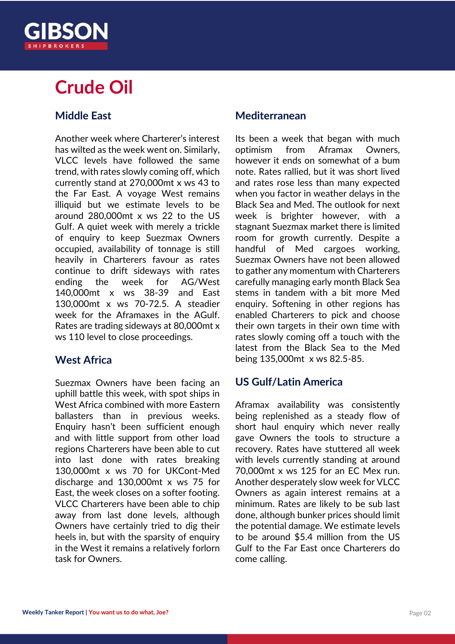## **Crude Oil**

## **Middle East**

Another week where Charterer's interest has wilted as the week went on. Similarly, VLCC levels have followed the same trend, with rates slowly coming off, which currently stand at 270,000mt x ws 43 to the Far East. A voyage West remains illiquid but we estimate levels to be around 280,000mt x ws 22 to the US Gulf. A quiet week with merely a trickle of enquiry to keep Suezmax Owners occupied, availability of tonnage is still heavily in Charterers favour as rates continue to drift sideways with rates ending the week for AG/West 140,000mt x ws 38-39 and East 130,000mt x ws 70-72.5. A steadier week for the Aframaxes in the AGulf. Rates are trading sideways at 80,000mt x ws 110 level to close proceedings.

## **West Africa**

Suezmax Owners have been facing an uphill battle this week, with spot ships in West Africa combined with more Eastern ballasters than in previous weeks. Enquiry hasn't been sufficient enough and with little support from other load regions Charterers have been able to cut into last done with rates breaking 130,000mt x ws 70 for UKCont-Med discharge and 130,000mt x ws 75 for East, the week closes on a softer footing. VLCC Charterers have been able to chip away from last done levels, although Owners have certainly tried to dig their heels in, but with the sparsity of enquiry in the West it remains a relatively forlorn task for Owners.

## **Mediterranean**

Its been a week that began with much optimism from Aframax Owners, however it ends on somewhat of a bum note. Rates rallied, but it was short lived and rates rose less than many expected when you factor in weather delays in the Black Sea and Med. The outlook for next week is brighter however, with a stagnant Suezmax market there is limited room for growth currently. Despite a handful of Med cargoes working, Suezmax Owners have not been allowed to gather any momentum with Charterers carefully managing early month Black Sea stems in tandem with a bit more Med enquiry. Softening in other regions has enabled Charterers to pick and choose their own targets in their own time with rates slowly coming off a touch with the latest from the Black Sea to the Med being 135,000mt x ws 82.5-85.

## **US Gulf/Latin America**

Aframax availability was consistently being replenished as a steady flow of short haul enquiry which never really gave Owners the tools to structure a recovery. Rates have stuttered all week with levels currently standing at around 70,000mt x ws 125 for an EC Mex run. Another desperately slow week for VLCC Owners as again interest remains at a minimum. Rates are likely to be sub last done, although bunker prices should limit the potential damage. We estimate levels to be around \$5.4 million from the US Gulf to the Far East once Charterers do come calling.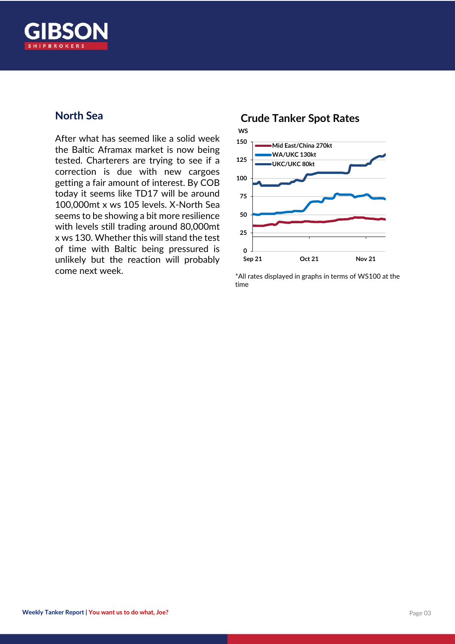

## **North Sea**

After what has seemed like a solid week the Baltic Aframax market is now being tested. Charterers are trying to see if a correction is due with new cargoes getting a fair amount of interest. By COB today it seems like TD17 will be around 100,000mt x ws 105 levels. X-North Sea seems to be showing a bit more resilience with levels still trading around 80,000mt x ws 130. Whether this will stand the test of time with Baltic being pressured is unlikely but the reaction will probably come next week.  $*$ All rates displayed in graphs in terms of WS100 at the

## **0 25 50 75 100 125 150 Sep 21 Oct 21 Nov 21 Mid East/China 270kt WA/UKC 130kt UKC/UKC 80kt WS Crude Tanker Spot Rates**

time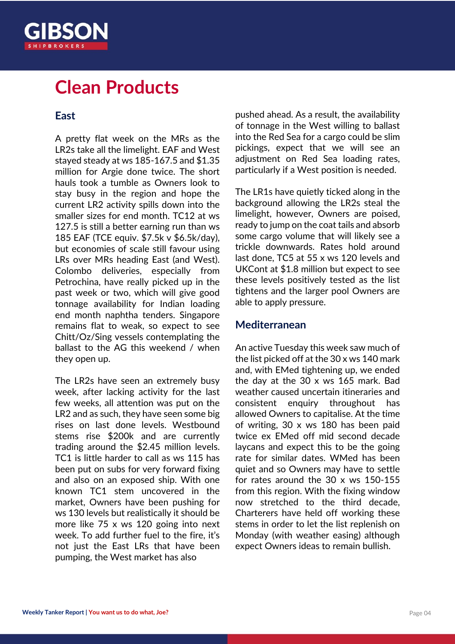

## **Clean Products**

## **East**

A pretty flat week on the MRs as the LR2s take all the limelight. EAF and West stayed steady at ws 185-167.5 and \$1.35 million for Argie done twice. The short hauls took a tumble as Owners look to stay busy in the region and hope the current LR2 activity spills down into the smaller sizes for end month. TC12 at ws 127.5 is still a better earning run than ws 185 EAF (TCE equiv. \$7.5k v \$6.5k/day), but economies of scale still favour using LRs over MRs heading East (and West). Colombo deliveries, especially from Petrochina, have really picked up in the past week or two, which will give good tonnage availability for Indian loading end month naphtha tenders. Singapore remains flat to weak, so expect to see Chitt/Oz/Sing vessels contemplating the ballast to the AG this weekend / when they open up.

The LR2s have seen an extremely busy week, after lacking activity for the last few weeks, all attention was put on the LR2 and as such, they have seen some big rises on last done levels. Westbound stems rise \$200k and are currently trading around the \$2.45 million levels. TC1 is little harder to call as ws 115 has been put on subs for very forward fixing and also on an exposed ship. With one known TC1 stem uncovered in the market, Owners have been pushing for ws 130 levels but realistically it should be more like 75 x ws 120 going into next week. To add further fuel to the fire, it's not just the East LRs that have been pumping, the West market has also

pushed ahead. As a result, the availability of tonnage in the West willing to ballast into the Red Sea for a cargo could be slim pickings, expect that we will see an adjustment on Red Sea loading rates, particularly if a West position is needed.

The LR1s have quietly ticked along in the background allowing the LR2s steal the limelight, however, Owners are poised, ready to jump on the coat tails and absorb some cargo volume that will likely see a trickle downwards. Rates hold around last done, TC5 at 55 x ws 120 levels and UKCont at \$1.8 million but expect to see these levels positively tested as the list tightens and the larger pool Owners are able to apply pressure.

## **Mediterranean**

An active Tuesday this week saw much of the list picked off at the 30 x ws 140 mark and, with EMed tightening up, we ended the day at the 30 x ws 165 mark. Bad weather caused uncertain itineraries and consistent enquiry throughout has allowed Owners to capitalise. At the time of writing, 30 x ws 180 has been paid twice ex EMed off mid second decade laycans and expect this to be the going rate for similar dates. WMed has been quiet and so Owners may have to settle for rates around the 30 x ws 150-155 from this region. With the fixing window now stretched to the third decade, Charterers have held off working these stems in order to let the list replenish on Monday (with weather easing) although expect Owners ideas to remain bullish.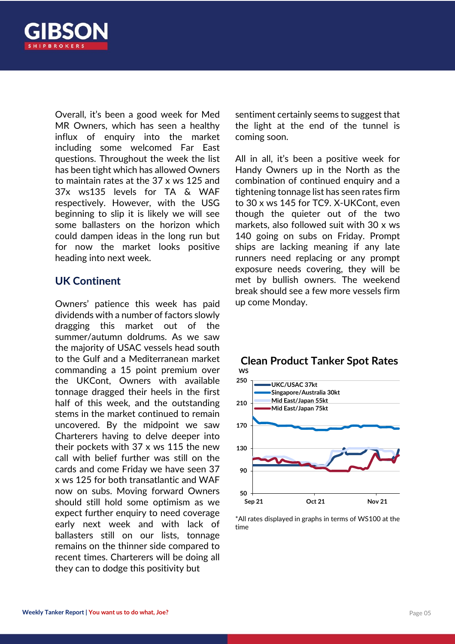

Overall, it's been a good week for Med MR Owners, which has seen a healthy influx of enquiry into the market including some welcomed Far East questions. Throughout the week the list has been tight which has allowed Owners to maintain rates at the 37 x ws 125 and 37x ws135 levels for TA & WAF respectively. However, with the USG beginning to slip it is likely we will see some ballasters on the horizon which could dampen ideas in the long run but for now the market looks positive heading into next week.

## **UK Continent**

Owners' patience this week has paid dividends with a number of factors slowly dragging this market out of the summer/autumn doldrums. As we saw the majority of USAC vessels head south to the Gulf and a Mediterranean market commanding a 15 point premium over the UKCont, Owners with available tonnage dragged their heels in the first half of this week, and the outstanding stems in the market continued to remain uncovered. By the midpoint we saw Charterers having to delve deeper into their pockets with 37 x ws 115 the new call with belief further was still on the cards and come Friday we have seen 37 x ws 125 for both transatlantic and WAF now on subs. Moving forward Owners should still hold some optimism as we expect further enquiry to need coverage early next week and with lack of ballasters still on our lists, tonnage remains on the thinner side compared to recent times. Charterers will be doing all they can to dodge this positivity but

sentiment certainly seems to suggest that the light at the end of the tunnel is coming soon.

All in all, it's been a positive week for Handy Owners up in the North as the combination of continued enquiry and a tightening tonnage list has seen rates firm to 30 x ws 145 for TC9. X-UKCont, even though the quieter out of the two markets, also followed suit with 30 x ws 140 going on subs on Friday. Prompt ships are lacking meaning if any late runners need replacing or any prompt exposure needs covering, they will be met by bullish owners. The weekend break should see a few more vessels firm up come Monday.



## **WS Clean Product Tanker Spot Rates**

\*All rates displayed in graphs in terms of WS100 at the time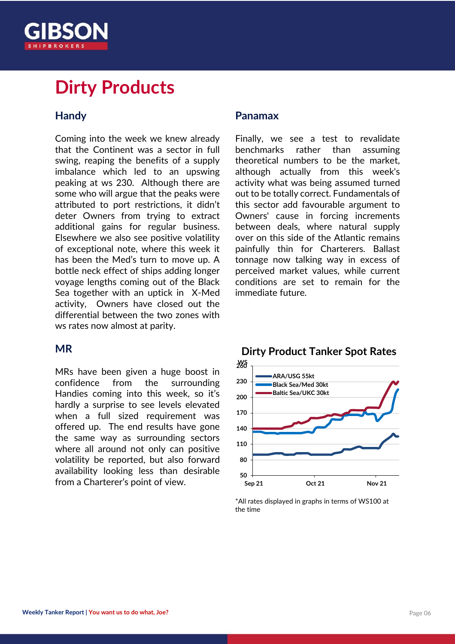

## **Dirty Products**

## **Handy**

Coming into the week we knew already that the Continent was a sector in full swing, reaping the benefits of a supply imbalance which led to an upswing peaking at ws 230. Although there are some who will argue that the peaks were attributed to port restrictions, it didn't deter Owners from trying to extract additional gains for regular business. Elsewhere we also see positive volatility of exceptional note, where this week it has been the Med's turn to move up. A bottle neck effect of ships adding longer voyage lengths coming out of the Black Sea together with an uptick in X-Med activity, Owners have closed out the differential between the two zones with ws rates now almost at parity.

## **MR**

MRs have been given a huge boost in confidence from the surrounding Handies coming into this week, so it's hardly a surprise to see levels elevated when a full sized requirement was offered up. The end results have gone the same way as surrounding sectors where all around not only can positive volatility be reported, but also forward availability looking less than desirable from a Charterer's point of view.

## **Panamax**

Finally, we see a test to revalidate benchmarks rather than assuming theoretical numbers to be the market, although actually from this week's activity what was being assumed turned out to be totally correct. Fundamentals of this sector add favourable argument to Owners' cause in forcing increments between deals, where natural supply over on this side of the Atlantic remains painfully thin for Charterers. Ballast tonnage now talking way in excess of perceived market values, while current conditions are set to remain for the immediate future.



<sup>\*</sup>All rates displayed in graphs in terms of WS100 at the time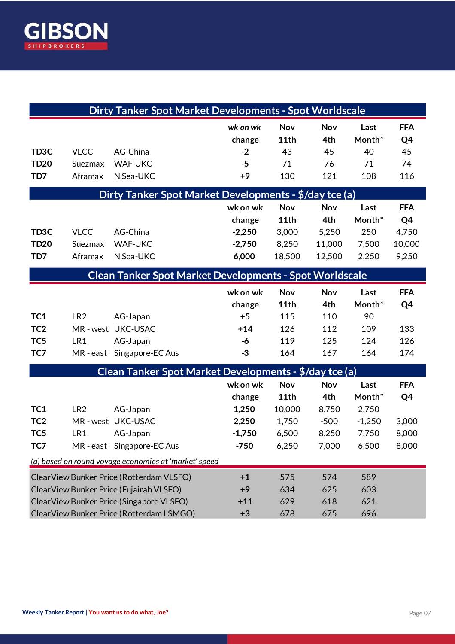

| <b>Dirty Tanker Spot Market Developments - Spot Worldscale</b> |                 |                            |                    |                    |            |                |                  |
|----------------------------------------------------------------|-----------------|----------------------------|--------------------|--------------------|------------|----------------|------------------|
|                                                                |                 |                            | wk on wk<br>change | <b>Nov</b><br>11th | Nov<br>4th | Last<br>Month* | <b>FFA</b><br>Q4 |
| TD <sub>3</sub> C                                              | <b>VLCC</b>     | AG-China                   | $-2$               | 43                 | 45         | 40             | 45               |
| <b>TD20</b>                                                    | Suezmax         | <b>WAF-UKC</b>             | $-5$               | 71                 | 76         | 71             | 74               |
| TD7                                                            | Aframax         | N.Sea-UKC                  | $+9$               | 130                | 121        | 108            | 116              |
| Dirty Tanker Spot Market Developments - \$/day tce (a)         |                 |                            |                    |                    |            |                |                  |
|                                                                |                 |                            | wk on wk           | <b>Nov</b>         | Nov        | Last           | <b>FFA</b>       |
|                                                                |                 |                            | change             | 11th               | 4th        | Month*         | Q4               |
| TD <sub>3</sub> C                                              | <b>VLCC</b>     | AG-China                   | $-2,250$           | 3,000              | 5,250      | 250            | 4,750            |
| <b>TD20</b>                                                    | Suezmax         | <b>WAF-UKC</b>             | $-2,750$           | 8,250              | 11,000     | 7,500          | 10,000           |
| TD7                                                            | Aframax         | N.Sea-UKC                  | 6,000              | 18,500             | 12,500     | 2,250          | 9,250            |
| <b>Clean Tanker Spot Market Developments - Spot Worldscale</b> |                 |                            |                    |                    |            |                |                  |
|                                                                |                 |                            | wk on wk           | <b>Nov</b>         | Nov        | Last           | <b>FFA</b>       |
|                                                                |                 |                            | change             | 11th               | 4th        | Month*         | Q4               |
| TC1                                                            | LR <sub>2</sub> | AG-Japan                   | $+5$               | 115                | 110        | 90             |                  |
| TC <sub>2</sub>                                                |                 | MR-west UKC-USAC           | $+14$              | 126                | 112        | 109            | 133              |
| TC <sub>5</sub>                                                | LR1             | AG-Japan                   | -6                 | 119                | 125        | 124            | 126              |
| TC7                                                            |                 | MR-east Singapore-EC Aus   | $-3$               | 164                | 167        | 164            | 174              |
| Clean Tanker Spot Market Developments - \$/day tce (a)         |                 |                            |                    |                    |            |                |                  |
|                                                                |                 |                            | wk on wk           | Nov                | Nov        | Last           | <b>FFA</b>       |
|                                                                |                 |                            | change             | 11th               | 4th        | Month*         | Q4               |
| TC1                                                            | LR <sub>2</sub> | AG-Japan                   | 1,250              | 10,000             | 8,750      | 2,750          |                  |
| TC <sub>2</sub>                                                |                 | MR-west UKC-USAC           | 2,250              | 1,750              | $-500$     | $-1,250$       | 3,000            |
| TC <sub>5</sub>                                                | LR1             | AG-Japan                   | $-1,750$           | 6,500              | 8,250      | 7,750          | 8,000            |
| TC7                                                            |                 | MR - east Singapore-EC Aus | $-750$             | 6,250              | 7,000      | 6,500          | 8,000            |
| (a) based on round voyage economics at 'market' speed          |                 |                            |                    |                    |            |                |                  |
| ClearView Bunker Price (Rotterdam VLSFO)                       |                 |                            | $+1$               | 575                | 574        | 589            |                  |
| ClearView Bunker Price (Fujairah VLSFO)                        |                 |                            | $+9$               | 634                | 625        | 603            |                  |
| ClearView Bunker Price (Singapore VLSFO)                       |                 |                            | $+11$              | 629                | 618        | 621            |                  |
| ClearView Bunker Price (Rotterdam LSMGO)                       |                 |                            | $+3$               | 678                | 675        | 696            |                  |